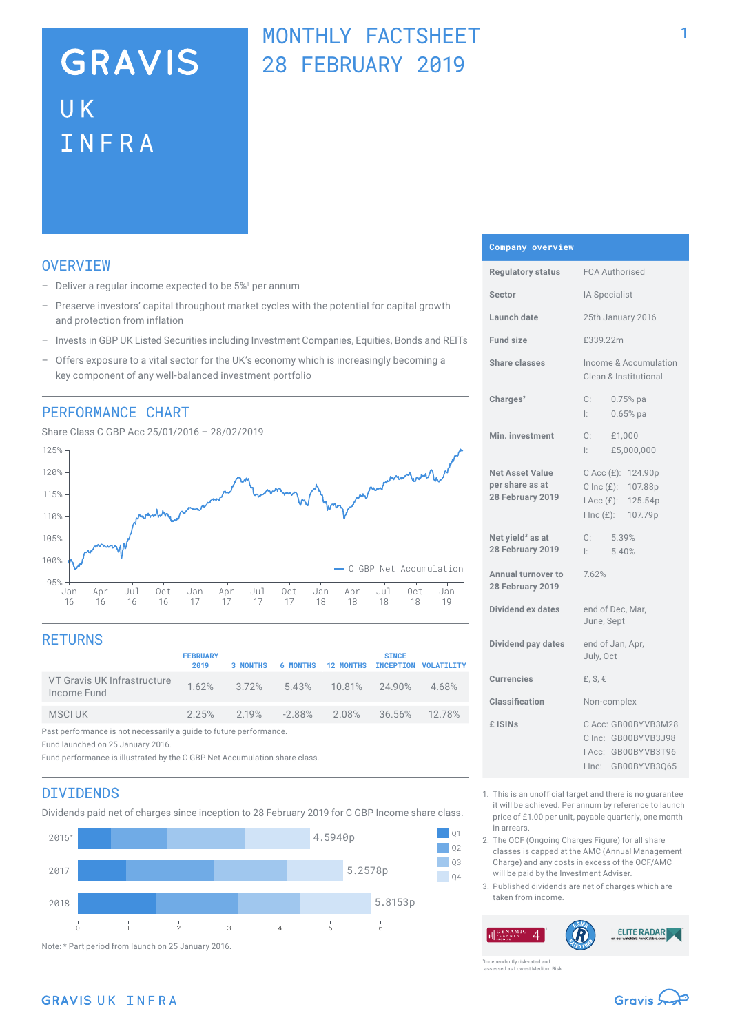# **GRAVIS** UK INFRA

## MONTHLY FACTSHEET 28 FEBRUARY 2019

## **OVERVTEW**

- $-$  Deliver a regular income expected to be  $5\%$ <sup>1</sup> per annum
- Preserve investors' capital throughout market cycles with the potential for capital growth and protection from inflation
- Invests in GBP UK Listed Securities including Investment Companies, Equities, Bonds and REITs
- Offers exposure to a vital sector for the UK's economy which is increasingly becoming a key component of any well-balanced investment portfolio

### PERFORMANCE CHART



## **RETURNS**

|                                                                    | <b>FEBRUARY</b><br>2019 | 3 MONTHS |                             | 6 MONTHS 12 MONTHS INCEPTION VOLATILITY | <b>SINCE</b>  |       |
|--------------------------------------------------------------------|-------------------------|----------|-----------------------------|-----------------------------------------|---------------|-------|
| VT Gravis UK Infrastructure<br>Income Fund                         |                         |          |                             | 1.62% 3.72% 5.43% 10.81% 24.90%         |               | 4.68% |
| MSCI UK                                                            | 2.25%                   |          | $2.19\%$ $-2.88\%$ $2.08\%$ |                                         | 36.56% 12.78% |       |
| Past performance is not necessarily a guide to future performance. |                         |          |                             |                                         |               |       |

Fund launched on 25 January 2016.

Fund performance is illustrated by the C GBP Net Accumulation share class.

### DIVIDENDS

Dividends paid net of charges since inception to 28 February 2019 for C GBP Income share class.



**Company overview**

| Regulatory status                                             | <b>FCA Authorised</b>                                                                                |  |  |
|---------------------------------------------------------------|------------------------------------------------------------------------------------------------------|--|--|
| Sector                                                        | IA Specialist                                                                                        |  |  |
| Launch date                                                   | 25th January 2016                                                                                    |  |  |
| <b>Fund size</b>                                              | £339.22m                                                                                             |  |  |
| <b>Share classes</b>                                          | Income & Accumulation<br>Clean & Institutional                                                       |  |  |
| Charges <sup>2</sup>                                          | $C$ :<br>$0.75%$ pa<br>Ŀ.<br>$0.65%$ pa                                                              |  |  |
| Min. investment                                               | C:<br>£1,000<br>£5,000,000<br>Ŀ.                                                                     |  |  |
| <b>Net Asset Value</b><br>per share as at<br>28 February 2019 | $C$ Acc $(E)$ :<br>124.90p<br>C Inc (£): 107.88p<br>I Acc (£): 125.54p<br>$l$ Inc $(E)$ :<br>107.79p |  |  |
| Net yield <sup>3</sup> as at<br>28 February 2019              | C:<br>5.39%<br>5.40%<br>Ŀ.                                                                           |  |  |
| Annual turnover to<br>28 February 2019                        | 7.62%                                                                                                |  |  |
| <b>Dividend ex dates</b>                                      | end of Dec, Mar,<br>June, Sept                                                                       |  |  |
| Dividend pay dates                                            | end of Jan, Apr,<br>July, Oct                                                                        |  |  |
| <b>Currencies</b>                                             | £, $$, €$                                                                                            |  |  |
| Classification                                                | Non-complex                                                                                          |  |  |
| £ ISINs                                                       | C Acc: GB00BYVB3M28<br>C Inc: GB00BYVB3J98<br>IAcc: GB00BYVB3T96<br>GB00BYVB3Q65<br>I Inc:           |  |  |

- 1. This is an unofficial target and there is no guarantee it will be achieved. Per annum by reference to launch price of £1.00 per unit, payable quarterly, one month in arrears.
- 2. The OCF (Ongoing Charges Figure) for all share classes is capped at the AMC (Annual Management Charge) and any costs in excess of the OCF/AMC will be paid by the Investment Adviser.
- 3. Published dividends are net of charges which are taken from income.



ently risk-rated and assessed as Lowest Medium Risk

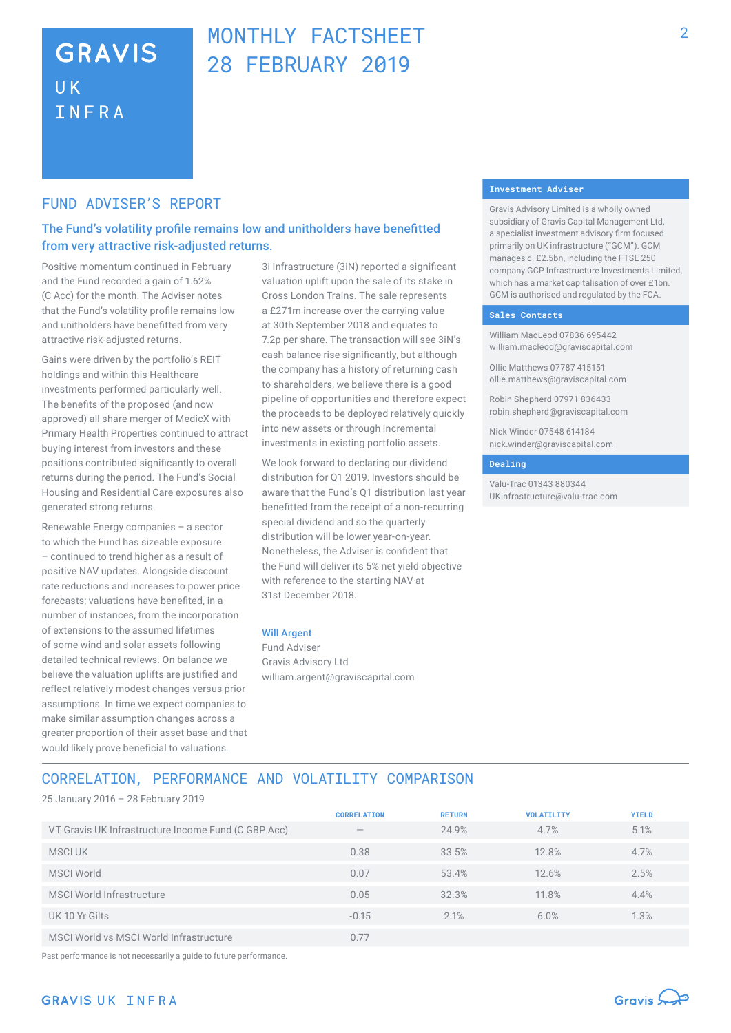## **GRAVIS UK** INFRA

## MONTHLY FACTSHEET 28 FEBRUARY 2019

### FUND ADVISER'S REPORT

## The Fund's volatility profile remains low and unitholders have benefitted from very attractive risk-adjusted returns.

Positive momentum continued in February and the Fund recorded a gain of 1.62% (C Acc) for the month. The Adviser notes that the Fund's volatility profile remains low and unitholders have benefitted from very attractive risk-adjusted returns.

Gains were driven by the portfolio's REIT holdings and within this Healthcare investments performed particularly well. The benefits of the proposed (and now approved) all share merger of MedicX with Primary Health Properties continued to attract buying interest from investors and these positions contributed significantly to overall returns during the period. The Fund's Social Housing and Residential Care exposures also generated strong returns.

Renewable Energy companies – a sector to which the Fund has sizeable exposure – continued to trend higher as a result of positive NAV updates. Alongside discount rate reductions and increases to power price forecasts; valuations have benefited, in a number of instances, from the incorporation of extensions to the assumed lifetimes of some wind and solar assets following detailed technical reviews. On balance we believe the valuation uplifts are justified and reflect relatively modest changes versus prior assumptions. In time we expect companies to make similar assumption changes across a greater proportion of their asset base and that would likely prove beneficial to valuations.

3i Infrastructure (3iN) reported a significant valuation uplift upon the sale of its stake in Cross London Trains. The sale represents a £271m increase over the carrying value at 30th September 2018 and equates to 7.2p per share. The transaction will see 3iN's cash balance rise significantly, but although the company has a history of returning cash to shareholders, we believe there is a good pipeline of opportunities and therefore expect the proceeds to be deployed relatively quickly into new assets or through incremental investments in existing portfolio assets.

We look forward to declaring our dividend distribution for Q1 2019. Investors should be aware that the Fund's Q1 distribution last year benefitted from the receipt of a non-recurring special dividend and so the quarterly distribution will be lower year-on-year. Nonetheless, the Adviser is confident that the Fund will deliver its 5% net yield objective with reference to the starting NAV at 31st December 2018.

#### Will Argent

Fund Adviser Gravis Advisory Ltd william.argent@graviscapital.com

#### **Investment Adviser**

Gravis Advisory Limited is a wholly owned subsidiary of Gravis Capital Management Ltd, a specialist investment advisory firm focused primarily on UK infrastructure ("GCM"). GCM manages c. £2.5bn, including the FTSE 250 company GCP Infrastructure Investments Limited, which has a market capitalisation of over £1bn. GCM is authorised and regulated by the FCA.

#### **Sales Contacts**

William MacLeod 07836 695442 william.macleod@graviscapital.com

Ollie Matthews 07787 415151 ollie.matthews@graviscapital.com

Robin Shepherd 07971 836433 robin.shepherd@graviscapital.com

Nick Winder 07548 614184 nick.winder@graviscapital.com

#### **Dealing**

Valu-Trac 01343 880344 UKinfrastructure@valu-trac.com

## CORRELATION, PERFORMANCE AND VOLATILITY COMPARISON

25 January 2016 – 28 February 2019

|                                                     | <b>CORRELATION</b>       | <b>RETURN</b> | <b>VOLATILITY</b> | <b>YIELD</b> |
|-----------------------------------------------------|--------------------------|---------------|-------------------|--------------|
| VT Gravis UK Infrastructure Income Fund (C GBP Acc) | $\overline{\phantom{a}}$ | 24.9%         | 4.7%              | 5.1%         |
| MSCI UK                                             | 0.38                     | 33.5%         | 12.8%             | 4.7%         |
| <b>MSCI World</b>                                   | 0.07                     | 53.4%         | 12.6%             | 2.5%         |
| MSCI World Infrastructure                           | 0.05                     | 32.3%         | 11.8%             | 4.4%         |
| UK 10 Yr Gilts                                      | $-0.15$                  | 2.1%          | 6.0%              | 1.3%         |
| MSCI World vs MSCI World Infrastructure             | 0.77                     |               |                   |              |

Past performance is not necessarily a guide to future performance.